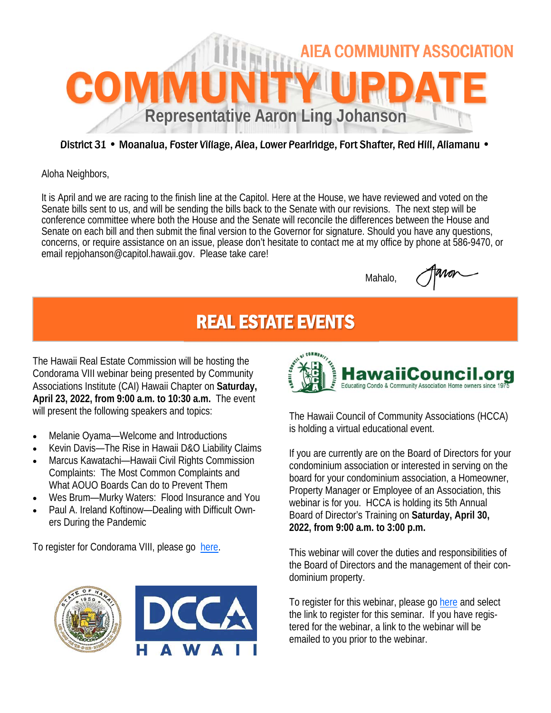

## District 31 • Moanalua, Foster Village, Aiea, Lower Pearlridge, Fort Shafter, Red Hill, Aliamanu •

Aloha Neighbors,

It is April and we are racing to the finish line at the Capitol. Here at the House, we have reviewed and voted on the Senate bills sent to us, and will be sending the bills back to the Senate with our revisions. The next step will be conference committee where both the House and the Senate will reconcile the differences between the House and Senate on each bill and then submit the final version to the Governor for signature. Should you have any questions, concerns, or require assistance on an issue, please don't hesitate to contact me at my office by phone at 586-9470, or email repjohanson@capitol.hawaii.gov. Please take care!

Mahalo,

## REAL ESTATE EVENTS

The Hawaii Real Estate Commission will be hosting the Condorama VIII webinar being presented by Community Associations Institute (CAI) Hawaii Chapter on **Saturday, April 23, 2022, from 9:00 a.m. to 10:30 a.m.** The event will present the following speakers and topics:

- Melanie Oyama—Welcome and Introductions
- Kevin Davis—The Rise in Hawaii D&O Liability Claims
- Marcus Kawatachi—Hawaii Civil Rights Commission Complaints: The Most Common Complaints and What AOUO Boards Can do to Prevent Them
- Wes Brum—Murky Waters: Flood Insurance and You
- Paul A. Ireland Koftinow—Dealing with Difficult Owners During the Pandemic

To register for Condorama VIII, please go here.





The Hawaii Council of Community Associations (HCCA) is holding a virtual educational event.

If you are currently are on the Board of Directors for your condominium association or interested in serving on the board for your condominium association, a Homeowner, Property Manager or Employee of an Association, this webinar is for you. HCCA is holding its 5th Annual Board of Director's Training on **Saturday, April 30, 2022, from 9:00 a.m. to 3:00 p.m.** 

This webinar will cover the duties and responsibilities of the Board of Directors and the management of their condominium property.

To register for this webinar, please go here and select the link to register for this seminar. If you have registered for the webinar, a link to the webinar will be emailed to you prior to the webinar.